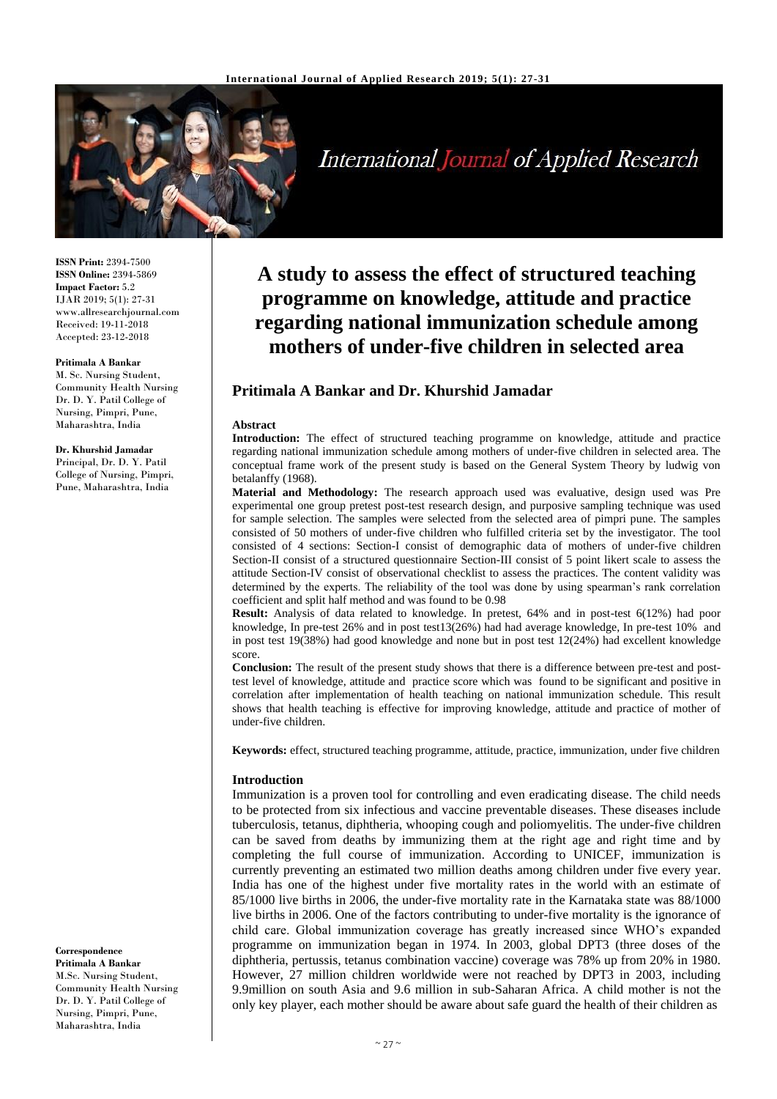

# International Journal of Applied Research

**ISSN Print:** 2394-7500 **ISSN Online:** 2394-5869 **Impact Factor:** 5.2 IJAR 2019; 5(1): 27-31 www.allresearchjournal.com Received: 19-11-2018 Accepted: 23-12-2018

#### **Pritimala A Bankar**

M. Sc. Nursing Student, Community Health Nursing Dr. D. Y. Patil College of Nursing, Pimpri, Pune, Maharashtra, India

#### **Dr. Khurshid Jamadar**

Principal, Dr. D. Y. Patil College of Nursing, Pimpri, Pune, Maharashtra, India

#### **Correspondence Pritimala A Bankar** M.Sc. Nursing Student, Community Health Nursing Dr. D. Y. Patil College of Nursing, Pimpri, Pune, Maharashtra, India

# **A study to assess the effect of structured teaching programme on knowledge, attitude and practice regarding national immunization schedule among mothers of under-five children in selected area**

# **Pritimala A Bankar and Dr. Khurshid Jamadar**

#### **Abstract**

**Introduction:** The effect of structured teaching programme on knowledge, attitude and practice regarding national immunization schedule among mothers of under-five children in selected area. The conceptual frame work of the present study is based on the General System Theory by ludwig von betalanffy (1968).

**Material and Methodology:** The research approach used was evaluative, design used was Pre experimental one group pretest post-test research design, and purposive sampling technique was used for sample selection. The samples were selected from the selected area of pimpri pune. The samples consisted of 50 mothers of under-five children who fulfilled criteria set by the investigator. The tool consisted of 4 sections: Section-I consist of demographic data of mothers of under-five children Section-II consist of a structured questionnaire Section-III consist of 5 point likert scale to assess the attitude Section-IV consist of observational checklist to assess the practices. The content validity was determined by the experts. The reliability of the tool was done by using spearman's rank correlation coefficient and split half method and was found to be 0.98

**Result:** Analysis of data related to knowledge. In pretest, 64% and in post-test 6(12%) had poor knowledge, In pre-test 26% and in post test13(26%) had had average knowledge, In pre-test 10% and in post test 19(38%) had good knowledge and none but in post test 12(24%) had excellent knowledge score.

**Conclusion:** The result of the present study shows that there is a difference between pre-test and posttest level of knowledge, attitude and practice score which was found to be significant and positive in correlation after implementation of health teaching on national immunization schedule. This result shows that health teaching is effective for improving knowledge, attitude and practice of mother of under-five children.

**Keywords:** effect, structured teaching programme, attitude, practice, immunization, under five children

#### **Introduction**

Immunization is a proven tool for controlling and even eradicating disease. The child needs to be protected from six infectious and vaccine preventable diseases. These diseases include tuberculosis, tetanus, diphtheria, whooping cough and poliomyelitis. The under-five children can be saved from deaths by immunizing them at the right age and right time and by completing the full course of immunization. According to UNICEF, immunization is currently preventing an estimated two million deaths among children under five every year. India has one of the highest under five mortality rates in the world with an estimate of 85/1000 live births in 2006, the under-five mortality rate in the Karnataka state was 88/1000 live births in 2006. One of the factors contributing to under-five mortality is the ignorance of child care. Global immunization coverage has greatly increased since WHO's expanded programme on immunization began in 1974. In 2003, global DPT3 (three doses of the diphtheria, pertussis, tetanus combination vaccine) coverage was 78% up from 20% in 1980. However, 27 million children worldwide were not reached by DPT3 in 2003, including 9.9million on south Asia and 9.6 million in sub-Saharan Africa. A child mother is not the only key player, each mother should be aware about safe guard the health of their children as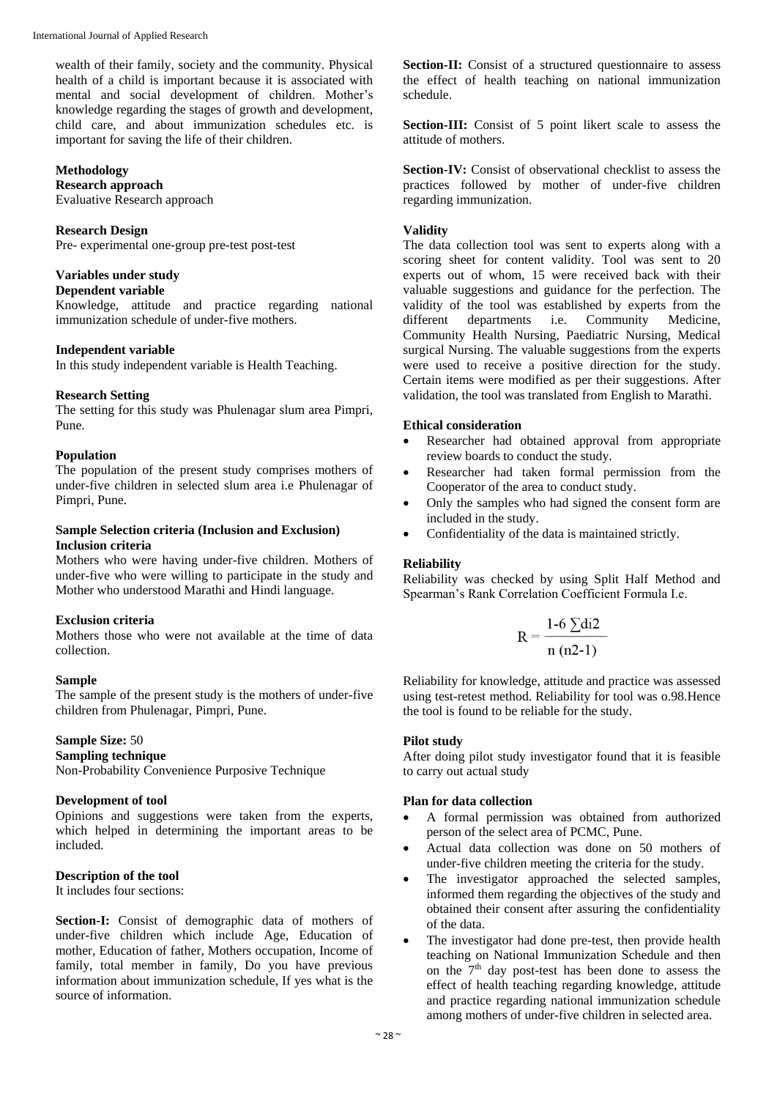wealth of their family, society and the community. Physical health of a child is important because it is associated with mental and social development of children. Mother's knowledge regarding the stages of growth and development, child care, and about immunization schedules etc. is important for saving the life of their children.

#### **Methodology**

# **Research approach**

Evaluative Research approach

#### **Research Design**

Pre- experimental one-group pre-test post-test

#### **Variables under study**

#### **Dependent variable**

Knowledge, attitude and practice regarding national immunization schedule of under-five mothers.

#### **Independent variable**

In this study independent variable is Health Teaching.

#### **Research Setting**

The setting for this study was Phulenagar slum area Pimpri, Pune.

#### **Population**

The population of the present study comprises mothers of under-five children in selected slum area i.e Phulenagar of Pimpri, Pune.

#### **Sample Selection criteria (Inclusion and Exclusion) Inclusion criteria**

Mothers who were having under-five children. Mothers of under-five who were willing to participate in the study and Mother who understood Marathi and Hindi language.

# **Exclusion criteria**

Mothers those who were not available at the time of data collection.

#### **Sample**

The sample of the present study is the mothers of under-five children from Phulenagar, Pimpri, Pune.

# **Sample Size:** 50

**Sampling technique** 

Non-Probability Convenience Purposive Technique

#### **Development of tool**

Opinions and suggestions were taken from the experts, which helped in determining the important areas to be included.

# **Description of the tool**

It includes four sections:

**Section-I:** Consist of demographic data of mothers of under-five children which include Age, Education of mother, Education of father, Mothers occupation, Income of family, total member in family, Do you have previous information about immunization schedule, If yes what is the source of information.

Section-II: Consist of a structured questionnaire to assess the effect of health teaching on national immunization schedule.

**Section-III:** Consist of 5 point likert scale to assess the attitude of mothers.

**Section-IV:** Consist of observational checklist to assess the practices followed by mother of under-five children regarding immunization.

#### **Validity**

The data collection tool was sent to experts along with a scoring sheet for content validity. Tool was sent to 20 experts out of whom, 15 were received back with their valuable suggestions and guidance for the perfection. The validity of the tool was established by experts from the different departments i.e. Community Medicine, Community Health Nursing, Paediatric Nursing, Medical surgical Nursing. The valuable suggestions from the experts were used to receive a positive direction for the study. Certain items were modified as per their suggestions. After validation, the tool was translated from English to Marathi.

#### **Ethical consideration**

- Researcher had obtained approval from appropriate review boards to conduct the study.
- Researcher had taken formal permission from the Cooperator of the area to conduct study.
- Only the samples who had signed the consent form are included in the study.
- Confidentiality of the data is maintained strictly.

# **Reliability**

Reliability was checked by using Split Half Method and Spearman's Rank Correlation Coefficient Formula I.e.

$$
R = \frac{1-6 \sum di2}{n (n2-1)}
$$

Reliability for knowledge, attitude and practice was assessed using test-retest method. Reliability for tool was o.98.Hence the tool is found to be reliable for the study.

# **Pilot study**

After doing pilot study investigator found that it is feasible to carry out actual study

#### **Plan for data collection**

- A formal permission was obtained from authorized person of the select area of PCMC, Pune.
- Actual data collection was done on 50 mothers of under-five children meeting the criteria for the study.
- The investigator approached the selected samples, informed them regarding the objectives of the study and obtained their consent after assuring the confidentiality of the data.
- The investigator had done pre-test, then provide health teaching on National Immunization Schedule and then on the  $7<sup>th</sup>$  day post-test has been done to assess the effect of health teaching regarding knowledge, attitude and practice regarding national immunization schedule among mothers of under-five children in selected area.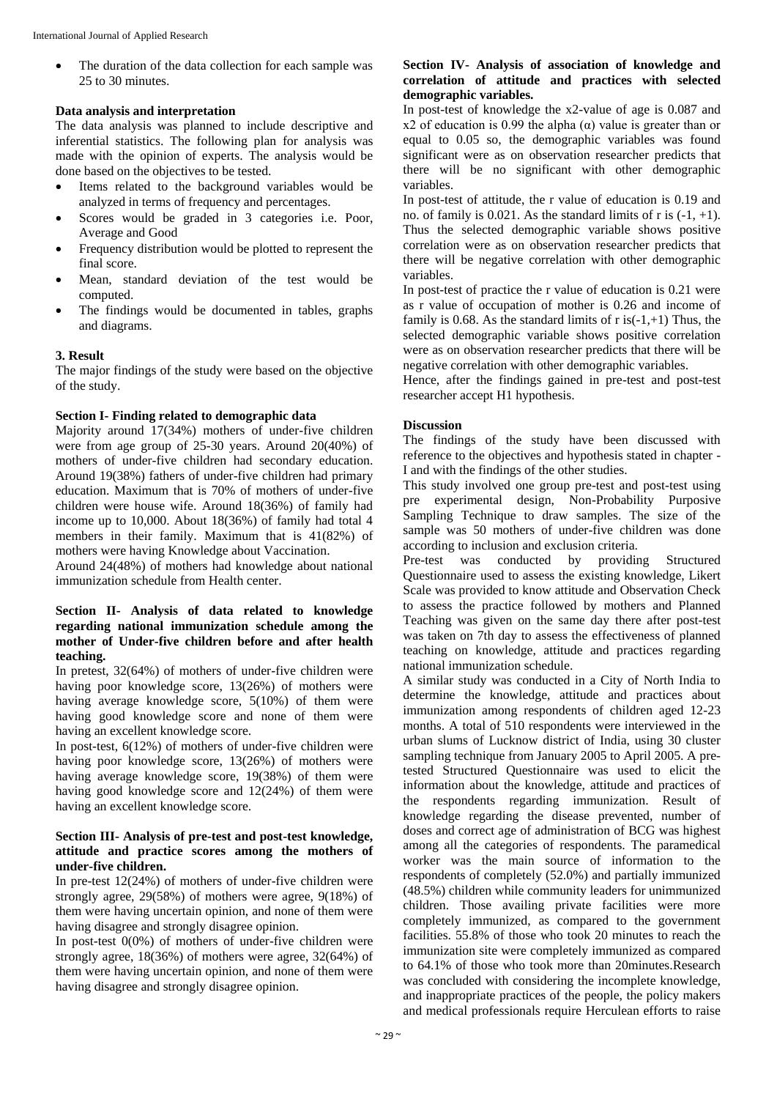• The duration of the data collection for each sample was 25 to 30 minutes.

# **Data analysis and interpretation**

The data analysis was planned to include descriptive and inferential statistics. The following plan for analysis was made with the opinion of experts. The analysis would be done based on the objectives to be tested.

- Items related to the background variables would be analyzed in terms of frequency and percentages.
- Scores would be graded in 3 categories i.e. Poor, Average and Good
- Frequency distribution would be plotted to represent the final score.
- Mean, standard deviation of the test would be computed.
- The findings would be documented in tables, graphs and diagrams.

# **3. Result**

The major findings of the study were based on the objective of the study.

#### **Section I- Finding related to demographic data**

Majority around 17(34%) mothers of under-five children were from age group of 25-30 years. Around 20(40%) of mothers of under-five children had secondary education. Around 19(38%) fathers of under-five children had primary education. Maximum that is 70% of mothers of under-five children were house wife. Around 18(36%) of family had income up to 10,000. About 18(36%) of family had total 4 members in their family. Maximum that is 41(82%) of mothers were having Knowledge about Vaccination.

Around 24(48%) of mothers had knowledge about national immunization schedule from Health center.

#### **Section II- Analysis of data related to knowledge regarding national immunization schedule among the mother of Under-five children before and after health teaching.**

In pretest, 32(64%) of mothers of under-five children were having poor knowledge score, 13(26%) of mothers were having average knowledge score, 5(10%) of them were having good knowledge score and none of them were having an excellent knowledge score.

In post-test, 6(12%) of mothers of under-five children were having poor knowledge score, 13(26%) of mothers were having average knowledge score, 19(38%) of them were having good knowledge score and 12(24%) of them were having an excellent knowledge score.

# **Section III- Analysis of pre-test and post-test knowledge, attitude and practice scores among the mothers of under-five children.**

In pre-test 12(24%) of mothers of under-five children were strongly agree, 29(58%) of mothers were agree, 9(18%) of them were having uncertain opinion, and none of them were having disagree and strongly disagree opinion.

In post-test 0(0%) of mothers of under-five children were strongly agree, 18(36%) of mothers were agree, 32(64%) of them were having uncertain opinion, and none of them were having disagree and strongly disagree opinion.

# **Section IV- Analysis of association of knowledge and correlation of attitude and practices with selected demographic variables.**

In post-test of knowledge the x2-value of age is 0.087 and x2 of education is 0.99 the alpha  $(\alpha)$  value is greater than or equal to 0.05 so, the demographic variables was found significant were as on observation researcher predicts that there will be no significant with other demographic variables.

In post-test of attitude, the r value of education is 0.19 and no. of family is 0.021. As the standard limits of r is  $(-1, +1)$ . Thus the selected demographic variable shows positive correlation were as on observation researcher predicts that there will be negative correlation with other demographic variables.

In post-test of practice the r value of education is 0.21 were as r value of occupation of mother is 0.26 and income of family is 0.68. As the standard limits of  $r$  is(-1,+1) Thus, the selected demographic variable shows positive correlation were as on observation researcher predicts that there will be negative correlation with other demographic variables.

Hence, after the findings gained in pre-test and post-test researcher accept H1 hypothesis.

#### **Discussion**

The findings of the study have been discussed with reference to the objectives and hypothesis stated in chapter - I and with the findings of the other studies.

This study involved one group pre-test and post-test using pre experimental design, Non-Probability Purposive Sampling Technique to draw samples. The size of the sample was 50 mothers of under-five children was done according to inclusion and exclusion criteria.

Pre-test was conducted by providing Structured Questionnaire used to assess the existing knowledge, Likert Scale was provided to know attitude and Observation Check to assess the practice followed by mothers and Planned Teaching was given on the same day there after post-test was taken on 7th day to assess the effectiveness of planned teaching on knowledge, attitude and practices regarding national immunization schedule.

A similar study was conducted in a City of North India to determine the knowledge, attitude and practices about immunization among respondents of children aged 12-23 months. A total of 510 respondents were interviewed in the urban slums of Lucknow district of India, using 30 cluster sampling technique from January 2005 to April 2005. A pretested Structured Questionnaire was used to elicit the information about the knowledge, attitude and practices of the respondents regarding immunization. Result of knowledge regarding the disease prevented, number of doses and correct age of administration of BCG was highest among all the categories of respondents. The paramedical worker was the main source of information to the respondents of completely (52.0%) and partially immunized (48.5%) children while community leaders for unimmunized children. Those availing private facilities were more completely immunized, as compared to the government facilities. 55.8% of those who took 20 minutes to reach the immunization site were completely immunized as compared to 64.1% of those who took more than 20minutes.Research was concluded with considering the incomplete knowledge, and inappropriate practices of the people, the policy makers and medical professionals require Herculean efforts to raise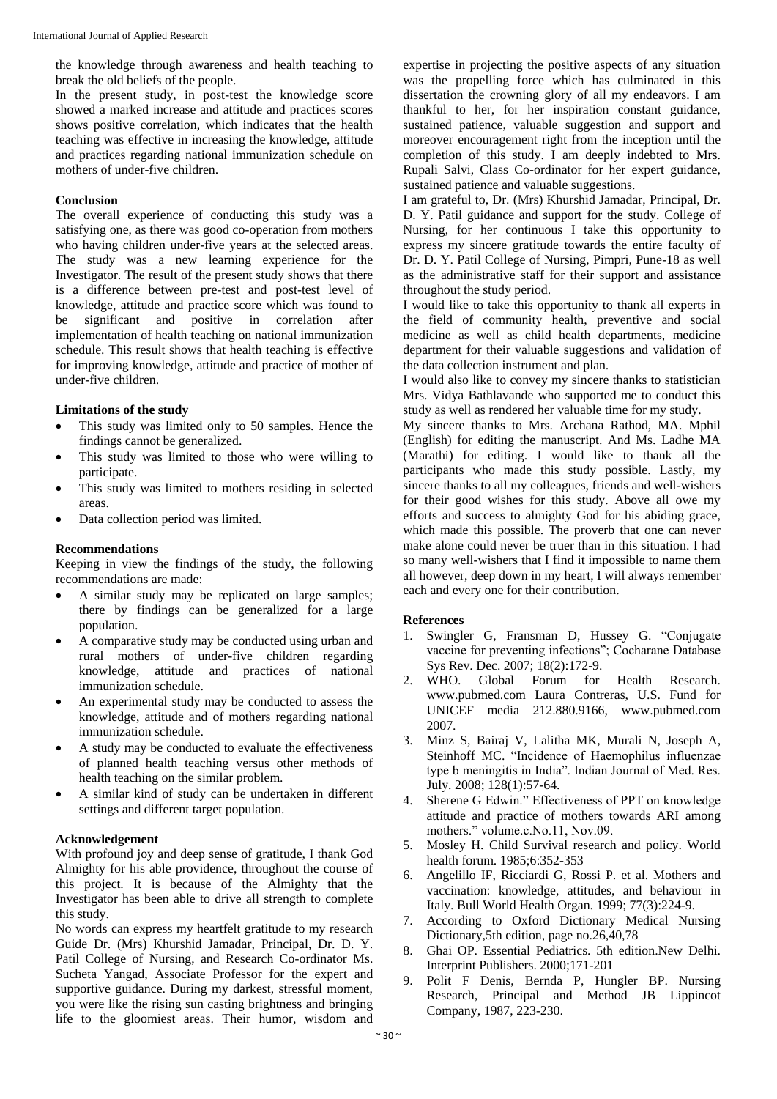the knowledge through awareness and health teaching to break the old beliefs of the people.

In the present study, in post-test the knowledge score showed a marked increase and attitude and practices scores shows positive correlation, which indicates that the health teaching was effective in increasing the knowledge, attitude and practices regarding national immunization schedule on mothers of under-five children.

#### **Conclusion**

The overall experience of conducting this study was a satisfying one, as there was good co-operation from mothers who having children under-five years at the selected areas. The study was a new learning experience for the Investigator. The result of the present study shows that there is a difference between pre-test and post-test level of knowledge, attitude and practice score which was found to be significant and positive in correlation after implementation of health teaching on national immunization schedule. This result shows that health teaching is effective for improving knowledge, attitude and practice of mother of under-five children.

#### **Limitations of the study**

- This study was limited only to 50 samples. Hence the findings cannot be generalized.
- This study was limited to those who were willing to participate.
- This study was limited to mothers residing in selected areas.
- Data collection period was limited.

## **Recommendations**

Keeping in view the findings of the study, the following recommendations are made:

- A similar study may be replicated on large samples; there by findings can be generalized for a large population.
- A comparative study may be conducted using urban and rural mothers of under-five children regarding knowledge, attitude and practices of national immunization schedule.
- An experimental study may be conducted to assess the knowledge, attitude and of mothers regarding national immunization schedule.
- A study may be conducted to evaluate the effectiveness of planned health teaching versus other methods of health teaching on the similar problem.
- A similar kind of study can be undertaken in different settings and different target population.

#### **Acknowledgement**

With profound joy and deep sense of gratitude, I thank God Almighty for his able providence, throughout the course of this project. It is because of the Almighty that the Investigator has been able to drive all strength to complete this study.

No words can express my heartfelt gratitude to my research Guide Dr. (Mrs) Khurshid Jamadar, Principal, Dr. D. Y. Patil College of Nursing, and Research Co-ordinator Ms. Sucheta Yangad, Associate Professor for the expert and supportive guidance. During my darkest, stressful moment, you were like the rising sun casting brightness and bringing life to the gloomiest areas. Their humor, wisdom and

expertise in projecting the positive aspects of any situation was the propelling force which has culminated in this dissertation the crowning glory of all my endeavors. I am thankful to her, for her inspiration constant guidance, sustained patience, valuable suggestion and support and moreover encouragement right from the inception until the completion of this study. I am deeply indebted to Mrs. Rupali Salvi, Class Co-ordinator for her expert guidance, sustained patience and valuable suggestions.

I am grateful to, Dr. (Mrs) Khurshid Jamadar, Principal, Dr. D. Y. Patil guidance and support for the study. College of Nursing, for her continuous I take this opportunity to express my sincere gratitude towards the entire faculty of Dr. D. Y. Patil College of Nursing, Pimpri, Pune-18 as well as the administrative staff for their support and assistance throughout the study period.

I would like to take this opportunity to thank all experts in the field of community health, preventive and social medicine as well as child health departments, medicine department for their valuable suggestions and validation of the data collection instrument and plan.

I would also like to convey my sincere thanks to statistician Mrs. Vidya Bathlavande who supported me to conduct this study as well as rendered her valuable time for my study.

My sincere thanks to Mrs. Archana Rathod, MA. Mphil (English) for editing the manuscript. And Ms. Ladhe MA (Marathi) for editing. I would like to thank all the participants who made this study possible. Lastly, my sincere thanks to all my colleagues, friends and well-wishers for their good wishes for this study. Above all owe my efforts and success to almighty God for his abiding grace, which made this possible. The proverb that one can never make alone could never be truer than in this situation. I had so many well-wishers that I find it impossible to name them all however, deep down in my heart, I will always remember each and every one for their contribution.

# **References**

- 1. Swingler G, Fransman D, Hussey G. "Conjugate vaccine for preventing infections"; Cocharane Database Sys Rev. Dec. 2007; 18(2):172-9.
- 2. WHO. Global Forum for Health Research. www.pubmed.com Laura Contreras, U.S. Fund for UNICEF media 212.880.9166, www.pubmed.com 2007.
- 3. Minz S, Bairaj V, Lalitha MK, Murali N, Joseph A, Steinhoff MC. "Incidence of Haemophilus influenzae type b meningitis in India". Indian Journal of Med. Res. July. 2008; 128(1):57-64.
- 4. Sherene G Edwin." Effectiveness of PPT on knowledge attitude and practice of mothers towards ARI among mothers." volume.c.No.11, Nov.09.
- 5. Mosley H. Child Survival research and policy. World health forum. 1985;6:352-353
- 6. Angelillo IF, Ricciardi G, Rossi P. et al. Mothers and vaccination: knowledge, attitudes, and behaviour in Italy. Bull World Health Organ. 1999; 77(3):224-9.
- 7. According to Oxford Dictionary Medical Nursing Dictionary,5th edition, page no.26,40,78
- 8. Ghai OP. Essential Pediatrics. 5th edition.New Delhi. Interprint Publishers. 2000;171-201
- 9. Polit F Denis, Bernda P, Hungler BP. Nursing Research, Principal and Method JB Lippincot Company, 1987, 223-230.